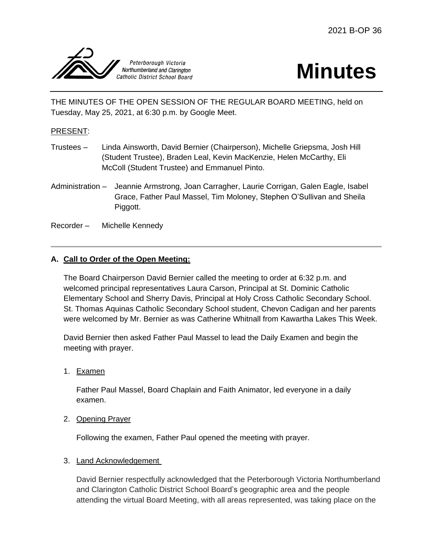

# **Minutes**

THE MINUTES OF THE OPEN SESSION OF THE REGULAR BOARD MEETING, held on Tuesday, May 25, 2021, at 6:30 p.m. by Google Meet.

# PRESENT:

- Trustees Linda Ainsworth, David Bernier (Chairperson), Michelle Griepsma, Josh Hill (Student Trustee), Braden Leal, Kevin MacKenzie, Helen McCarthy, Eli McColl (Student Trustee) and Emmanuel Pinto.
- Administration Jeannie Armstrong, Joan Carragher, Laurie Corrigan, Galen Eagle, Isabel Grace, Father Paul Massel, Tim Moloney, Stephen O'Sullivan and Sheila Piggott.
- Recorder Michelle Kennedy

# **A. Call to Order of the Open Meeting:**

The Board Chairperson David Bernier called the meeting to order at 6:32 p.m. and welcomed principal representatives Laura Carson, Principal at St. Dominic Catholic Elementary School and Sherry Davis, Principal at Holy Cross Catholic Secondary School. St. Thomas Aquinas Catholic Secondary School student, Chevon Cadigan and her parents were welcomed by Mr. Bernier as was Catherine Whitnall from Kawartha Lakes This Week.

David Bernier then asked Father Paul Massel to lead the Daily Examen and begin the meeting with prayer.

1. Examen

Father Paul Massel, Board Chaplain and Faith Animator, led everyone in a daily examen.

2. Opening Prayer

Following the examen, Father Paul opened the meeting with prayer.

## 3. Land Acknowledgement

David Bernier respectfully acknowledged that the Peterborough Victoria Northumberland and Clarington Catholic District School Board's geographic area and the people attending the virtual Board Meeting, with all areas represented, was taking place on the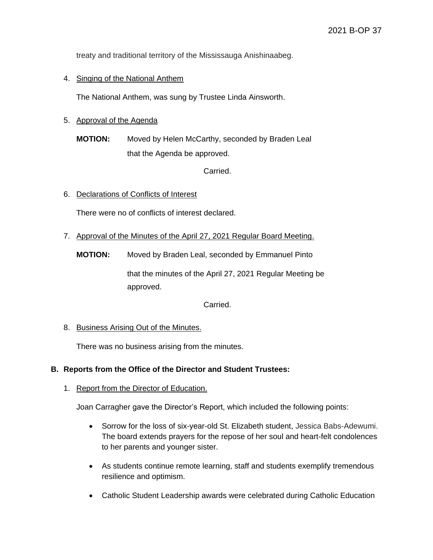treaty and traditional territory of the Mississauga Anishinaabeg.

## 4. Singing of the National Anthem

The National Anthem, was sung by Trustee Linda Ainsworth.

# 5. Approval of the Agenda

**MOTION:** Moved by Helen McCarthy, seconded by Braden Leal that the Agenda be approved.

Carried.

6. Declarations of Conflicts of Interest

There were no of conflicts of interest declared.

7. Approval of the Minutes of the April 27, 2021 Regular Board Meeting.

**MOTION:** Moved by Braden Leal, seconded by Emmanuel Pinto

that the minutes of the April 27, 2021 Regular Meeting be approved.

Carried.

8. Business Arising Out of the Minutes.

There was no business arising from the minutes.

## **B. Reports from the Office of the Director and Student Trustees:**

1. Report from the Director of Education.

Joan Carragher gave the Director's Report, which included the following points:

- Sorrow for the loss of six-year-old St. Elizabeth student, Jessica Babs-Adewumi. The board extends prayers for the repose of her soul and heart-felt condolences to her parents and younger sister.
- As students continue remote learning, staff and students exemplify tremendous resilience and optimism.
- Catholic Student Leadership awards were celebrated during Catholic Education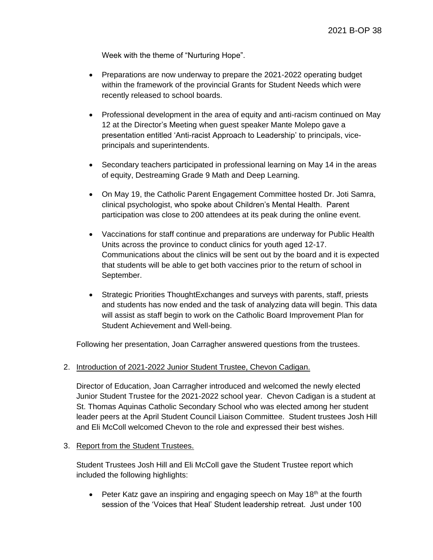Week with the theme of "Nurturing Hope".

- Preparations are now underway to prepare the 2021-2022 operating budget within the framework of the provincial Grants for Student Needs which were recently released to school boards.
- Professional development in the area of equity and anti-racism continued on May 12 at the Director's Meeting when guest speaker Mante Molepo gave a presentation entitled 'Anti-racist Approach to Leadership' to principals, viceprincipals and superintendents.
- Secondary teachers participated in professional learning on May 14 in the areas of equity, Destreaming Grade 9 Math and Deep Learning.
- On May 19, the Catholic Parent Engagement Committee hosted Dr. Joti Samra, clinical psychologist, who spoke about Children's Mental Health. Parent participation was close to 200 attendees at its peak during the online event.
- Vaccinations for staff continue and preparations are underway for Public Health Units across the province to conduct clinics for youth aged 12-17. Communications about the clinics will be sent out by the board and it is expected that students will be able to get both vaccines prior to the return of school in September.
- Strategic Priorities ThoughtExchanges and surveys with parents, staff, priests and students has now ended and the task of analyzing data will begin. This data will assist as staff begin to work on the Catholic Board Improvement Plan for Student Achievement and Well-being.

Following her presentation, Joan Carragher answered questions from the trustees.

2. Introduction of 2021-2022 Junior Student Trustee, Chevon Cadigan.

Director of Education, Joan Carragher introduced and welcomed the newly elected Junior Student Trustee for the 2021-2022 school year. Chevon Cadigan is a student at St. Thomas Aquinas Catholic Secondary School who was elected among her student leader peers at the April Student Council Liaison Committee. Student trustees Josh Hill and Eli McColl welcomed Chevon to the role and expressed their best wishes.

3. Report from the Student Trustees.

Student Trustees Josh Hill and Eli McColl gave the Student Trustee report which included the following highlights:

• Peter Katz gave an inspiring and engaging speech on May  $18<sup>th</sup>$  at the fourth session of the 'Voices that Heal' Student leadership retreat. Just under 100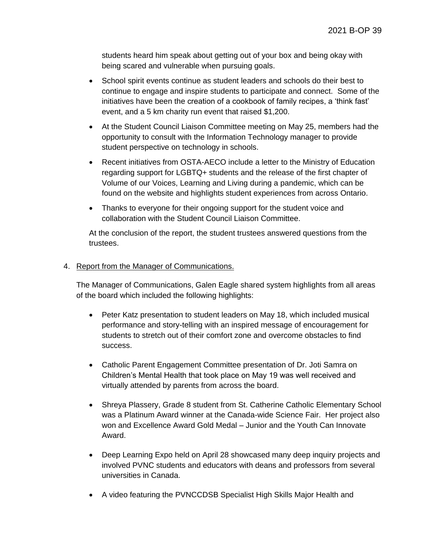students heard him speak about getting out of your box and being okay with being scared and vulnerable when pursuing goals.

- School spirit events continue as student leaders and schools do their best to continue to engage and inspire students to participate and connect. Some of the initiatives have been the creation of a cookbook of family recipes, a 'think fast' event, and a 5 km charity run event that raised \$1,200.
- At the Student Council Liaison Committee meeting on May 25, members had the opportunity to consult with the Information Technology manager to provide student perspective on technology in schools.
- Recent initiatives from OSTA-AECO include a letter to the Ministry of Education regarding support for LGBTQ+ students and the release of the first chapter of Volume of our Voices, Learning and Living during a pandemic, which can be found on the website and highlights student experiences from across Ontario.
- Thanks to everyone for their ongoing support for the student voice and collaboration with the Student Council Liaison Committee.

At the conclusion of the report, the student trustees answered questions from the trustees.

## 4. Report from the Manager of Communications.

The Manager of Communications, Galen Eagle shared system highlights from all areas of the board which included the following highlights:

- Peter Katz presentation to student leaders on May 18, which included musical performance and story-telling with an inspired message of encouragement for students to stretch out of their comfort zone and overcome obstacles to find success.
- Catholic Parent Engagement Committee presentation of Dr. Joti Samra on Children's Mental Health that took place on May 19 was well received and virtually attended by parents from across the board.
- Shreya Plassery, Grade 8 student from St. Catherine Catholic Elementary School was a Platinum Award winner at the Canada-wide Science Fair. Her project also won and Excellence Award Gold Medal – Junior and the Youth Can Innovate Award.
- Deep Learning Expo held on April 28 showcased many deep inquiry projects and involved PVNC students and educators with deans and professors from several universities in Canada.
- A video featuring the PVNCCDSB Specialist High Skills Major Health and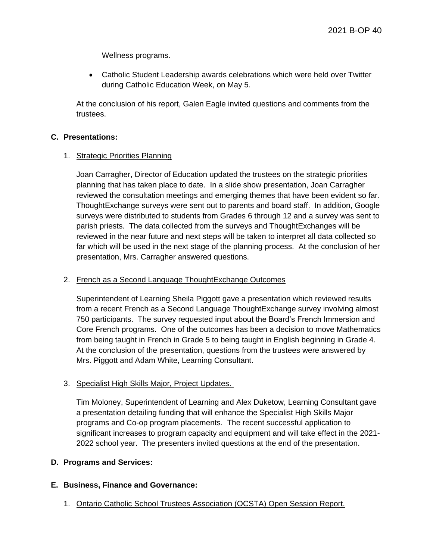Wellness programs.

 Catholic Student Leadership awards celebrations which were held over Twitter during Catholic Education Week, on May 5.

At the conclusion of his report, Galen Eagle invited questions and comments from the trustees.

#### **C. Presentations:**

#### 1. Strategic Priorities Planning

Joan Carragher, Director of Education updated the trustees on the strategic priorities planning that has taken place to date. In a slide show presentation, Joan Carragher reviewed the consultation meetings and emerging themes that have been evident so far. ThoughtExchange surveys were sent out to parents and board staff. In addition, Google surveys were distributed to students from Grades 6 through 12 and a survey was sent to parish priests. The data collected from the surveys and ThoughtExchanges will be reviewed in the near future and next steps will be taken to interpret all data collected so far which will be used in the next stage of the planning process. At the conclusion of her presentation, Mrs. Carragher answered questions.

## 2. French as a Second Language ThoughtExchange Outcomes

Superintendent of Learning Sheila Piggott gave a presentation which reviewed results from a recent French as a Second Language ThoughtExchange survey involving almost 750 participants. The survey requested input about the Board's French Immersion and Core French programs. One of the outcomes has been a decision to move Mathematics from being taught in French in Grade 5 to being taught in English beginning in Grade 4. At the conclusion of the presentation, questions from the trustees were answered by Mrs. Piggott and Adam White, Learning Consultant.

## 3. Specialist High Skills Major, Project Updates.

Tim Moloney, Superintendent of Learning and Alex Duketow, Learning Consultant gave a presentation detailing funding that will enhance the Specialist High Skills Major programs and Co-op program placements. The recent successful application to significant increases to program capacity and equipment and will take effect in the 2021- 2022 school year. The presenters invited questions at the end of the presentation.

## **D. Programs and Services:**

## **E. Business, Finance and Governance:**

1. Ontario Catholic School Trustees Association (OCSTA) Open Session Report.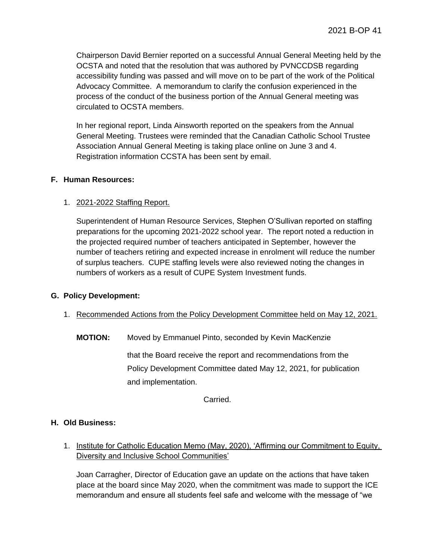Chairperson David Bernier reported on a successful Annual General Meeting held by the OCSTA and noted that the resolution that was authored by PVNCCDSB regarding accessibility funding was passed and will move on to be part of the work of the Political Advocacy Committee. A memorandum to clarify the confusion experienced in the process of the conduct of the business portion of the Annual General meeting was circulated to OCSTA members.

In her regional report, Linda Ainsworth reported on the speakers from the Annual General Meeting. Trustees were reminded that the Canadian Catholic School Trustee Association Annual General Meeting is taking place online on June 3 and 4. Registration information CCSTA has been sent by email.

## **F. Human Resources:**

# 1. 2021-2022 Staffing Report.

Superintendent of Human Resource Services, Stephen O'Sullivan reported on staffing preparations for the upcoming 2021-2022 school year. The report noted a reduction in the projected required number of teachers anticipated in September, however the number of teachers retiring and expected increase in enrolment will reduce the number of surplus teachers. CUPE staffing levels were also reviewed noting the changes in numbers of workers as a result of CUPE System Investment funds.

## **G. Policy Development:**

- 1. Recommended Actions from the Policy Development Committee held on May 12, 2021.
	- **MOTION:** Moved by Emmanuel Pinto, seconded by Kevin MacKenzie

that the Board receive the report and recommendations from the Policy Development Committee dated May 12, 2021, for publication and implementation.

Carried.

## **H. Old Business:**

1. Institute for Catholic Education Memo (May, 2020), 'Affirming our Commitment to Equity, Diversity and Inclusive School Communities'

Joan Carragher, Director of Education gave an update on the actions that have taken place at the board since May 2020, when the commitment was made to support the ICE memorandum and ensure all students feel safe and welcome with the message of "we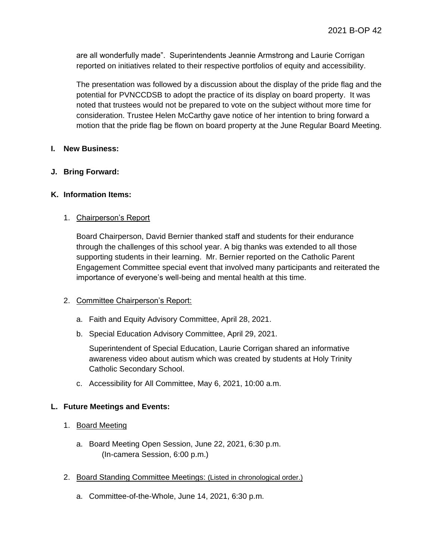are all wonderfully made". Superintendents Jeannie Armstrong and Laurie Corrigan reported on initiatives related to their respective portfolios of equity and accessibility.

The presentation was followed by a discussion about the display of the pride flag and the potential for PVNCCDSB to adopt the practice of its display on board property. It was noted that trustees would not be prepared to vote on the subject without more time for consideration. Trustee Helen McCarthy gave notice of her intention to bring forward a motion that the pride flag be flown on board property at the June Regular Board Meeting.

## **I. New Business:**

# **J. Bring Forward:**

## **K. Information Items:**

# 1. Chairperson's Report

Board Chairperson, David Bernier thanked staff and students for their endurance through the challenges of this school year. A big thanks was extended to all those supporting students in their learning. Mr. Bernier reported on the Catholic Parent Engagement Committee special event that involved many participants and reiterated the importance of everyone's well-being and mental health at this time.

## 2. Committee Chairperson's Report:

- a. Faith and Equity Advisory Committee, April 28, 2021.
- b. Special Education Advisory Committee, April 29, 2021.

Superintendent of Special Education, Laurie Corrigan shared an informative awareness video about autism which was created by students at Holy Trinity Catholic Secondary School.

c. Accessibility for All Committee, May 6, 2021, 10:00 a.m.

# **L. Future Meetings and Events:**

- 1. Board Meeting
	- a. Board Meeting Open Session, June 22, 2021, 6:30 p.m. (In-camera Session, 6:00 p.m.)
- 2. Board Standing Committee Meetings: (Listed in chronological order.)
	- a. Committee-of-the-Whole, June 14, 2021, 6:30 p.m.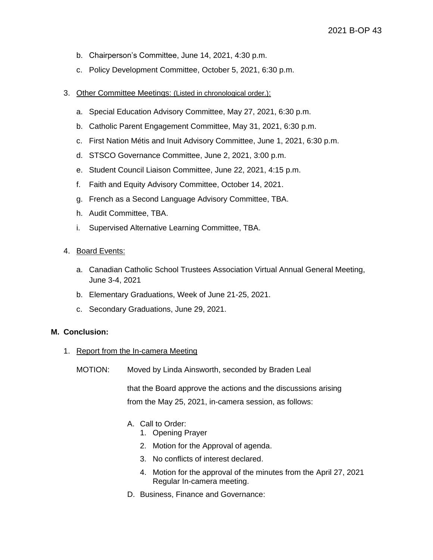- b. Chairperson's Committee, June 14, 2021, 4:30 p.m.
- c. Policy Development Committee, October 5, 2021, 6:30 p.m.
- 3. Other Committee Meetings: (Listed in chronological order.):
	- a. Special Education Advisory Committee, May 27, 2021, 6:30 p.m.
	- b. Catholic Parent Engagement Committee, May 31, 2021, 6:30 p.m.
	- c. First Nation Métis and Inuit Advisory Committee, June 1, 2021, 6:30 p.m.
	- d. STSCO Governance Committee, June 2, 2021, 3:00 p.m.
	- e. Student Council Liaison Committee, June 22, 2021, 4:15 p.m.
	- f. Faith and Equity Advisory Committee, October 14, 2021.
	- g. French as a Second Language Advisory Committee, TBA.
	- h. Audit Committee, TBA.
	- i. Supervised Alternative Learning Committee, TBA.
- 4. Board Events:
	- a. Canadian Catholic School Trustees Association Virtual Annual General Meeting, June 3-4, 2021
	- b. Elementary Graduations, Week of June 21-25, 2021.
	- c. Secondary Graduations, June 29, 2021.

#### **M. Conclusion:**

- 1. Report from the In-camera Meeting
	- MOTION: Moved by Linda Ainsworth, seconded by Braden Leal

that the Board approve the actions and the discussions arising from the May 25, 2021, in-camera session, as follows:

- A. Call to Order:
	- 1. Opening Prayer
	- 2. Motion for the Approval of agenda.
	- 3. No conflicts of interest declared.
	- 4. Motion for the approval of the minutes from the April 27, 2021 Regular In-camera meeting.
- D. Business, Finance and Governance: